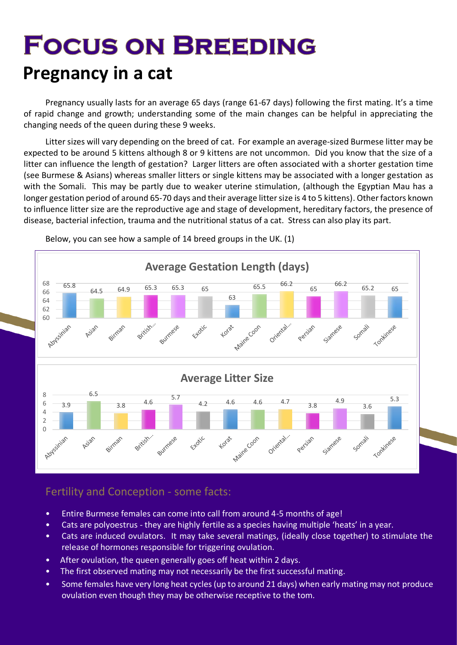# **FOCUS ON BREEDING Pregnancy in a cat**

Pregnancy usually lasts for an average 65 days (range 61-67 days) following the first mating. It's a time of rapid change and growth; understanding some of the main changes can be helpful in appreciating the changing needs of the queen during these 9 weeks.

Litter sizes will vary depending on the breed of cat. For example an average-sized Burmese litter may be expected to be around 5 kittens although 8 or 9 kittens are not uncommon. Did you know that the size of a litter can influence the length of gestation? Larger litters are often associated with a shorter gestation time (see Burmese & Asians) whereas smaller litters or single kittens may be associated with a longer gestation as with the Somali. This may be partly due to weaker uterine stimulation, (although the Egyptian Mau has a longer gestation period of around 65-70 days and their average litter size is 4 to 5 kittens). Other factors known to influence litter size are the reproductive age and stage of development, hereditary factors, the presence of disease, bacterial infection, trauma and the nutritional status of a cat. Stress can also play its part.



Below, you can see how a sample of 14 breed groups in the UK. (1)

# Fertility and Conception - some facts:

- Entire Burmese females can come into call from around 4-5 months of age!
- Cats are polyoestrus they are highly fertile as a species having multiple 'heats' in a year.
- Cats are induced ovulators. It may take several matings, (ideally close together) to stimulate the release of hormones responsible for triggering ovulation.
- After ovulation, the queen generally goes off heat within 2 days.
- The first observed mating may not necessarily be the first successful mating.
- Some females have very long heat cycles (up to around 21 days) when early mating may not produce ovulation even though they may be otherwise receptive to the tom.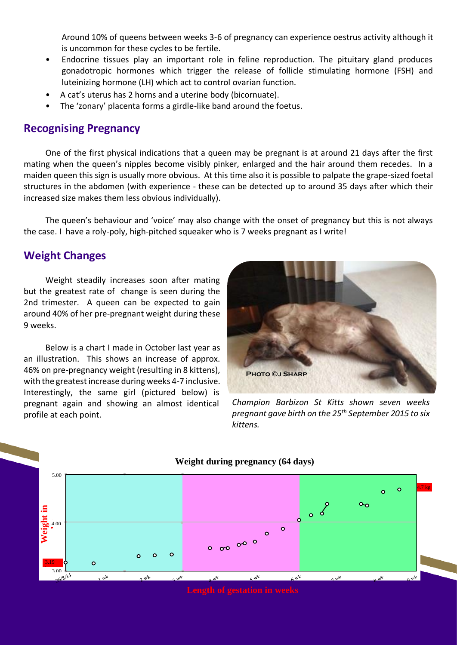Around 10% of queens between weeks 3-6 of pregnancy can experience oestrus activity although it is uncommon for these cycles to be fertile.

- Endocrine tissues play an important role in feline reproduction. The pituitary gland produces gonadotropic hormones which trigger the release of follicle stimulating hormone (FSH) and luteinizing hormone (LH) which act to control ovarian function.
- A cat's uterus has 2 horns and a uterine body (bicornuate).
- The 'zonary' placenta forms a girdle-like band around the foetus.

## **Recognising Pregnancy**

One of the first physical indications that a queen may be pregnant is at around 21 days after the first mating when the queen's nipples become visibly pinker, enlarged and the hair around them recedes. In a maiden queen this sign is usually more obvious. At this time also it is possible to palpate the grape-sized foetal structures in the abdomen (with experience - these can be detected up to around 35 days after which their increased size makes them less obvious individually).

The queen's behaviour and 'voice' may also change with the onset of pregnancy but this is not always the case. I have a roly-poly, high-pitched squeaker who is 7 weeks pregnant as I write!

## **Weight Changes**

Weight steadily increases soon after mating but the greatest rate of change is seen during the 2nd trimester. A queen can be expected to gain around 40% of her pre-pregnant weight during these 9 weeks.

Below is a chart I made in October last year as an illustration. This shows an increase of approx. 46% on pre-pregnancy weight (resulting in 8 kittens), with the greatest increase during weeks 4-7 inclusive. Interestingly, the same girl (pictured below) is pregnant again and showing an almost identical profile at each point.



*Champion Barbizon St Kitts shown seven weeks pregnant gave birth on the 25th September 2015 to six kittens.*

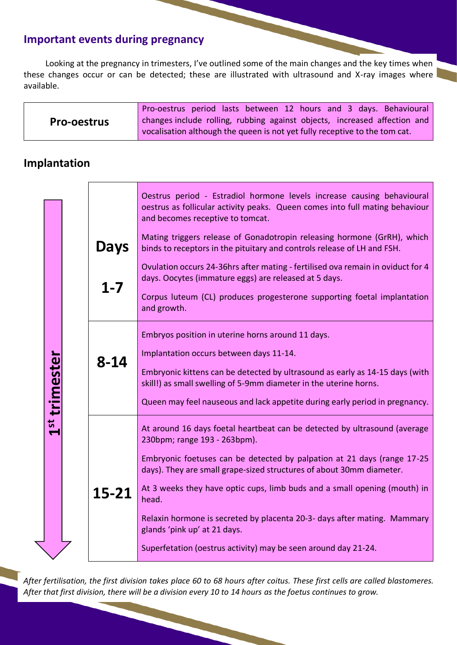## **Important events during pregnancy**

Looking at the pregnancy in trimesters, I've outlined some of the main changes and the key times when these changes occur or can be detected; these are illustrated with ultrasound and X-ray images where available.

|                    | Pro-oestrus period lasts between 12 hours and 3 days. Behavioural          |
|--------------------|----------------------------------------------------------------------------|
| <b>Pro-oestrus</b> | changes include rolling, rubbing against objects, increased affection and  |
|                    | vocalisation although the queen is not yet fully receptive to the tom cat. |

## **Implantation**

|                           |  |  |             | Oestrus period - Estradiol hormone levels increase causing behavioural<br>oestrus as follicular activity peaks. Queen comes into full mating behaviour<br>and becomes receptive to tomcat.                                                                                                                                                         |
|---------------------------|--|--|-------------|----------------------------------------------------------------------------------------------------------------------------------------------------------------------------------------------------------------------------------------------------------------------------------------------------------------------------------------------------|
| 1 <sup>st</sup> trimester |  |  | <b>Days</b> | Mating triggers release of Gonadotropin releasing hormone (GrRH), which<br>binds to receptors in the pituitary and controls release of LH and FSH.                                                                                                                                                                                                 |
|                           |  |  | $1 - 7$     | Ovulation occurs 24-36hrs after mating - fertilised ova remain in oviduct for 4<br>days. Oocytes (immature eggs) are released at 5 days.                                                                                                                                                                                                           |
|                           |  |  |             | Corpus luteum (CL) produces progesterone supporting foetal implantation<br>and growth.                                                                                                                                                                                                                                                             |
|                           |  |  | 8-14        | Embryos position in uterine horns around 11 days.<br>Implantation occurs between days 11-14.<br>Embryonic kittens can be detected by ultrasound as early as 14-15 days (with<br>skill!) as small swelling of 5-9mm diameter in the uterine horns.<br>Queen may feel nauseous and lack appetite during early period in pregnancy.                   |
|                           |  |  | 15-21       | At around 16 days foetal heartbeat can be detected by ultrasound (average<br>230bpm; range 193 - 263bpm).<br>Embryonic foetuses can be detected by palpation at 21 days (range 17-25<br>days). They are small grape-sized structures of about 30mm diameter.<br>At 3 weeks they have optic cups, limb buds and a small opening (mouth) in<br>head. |
|                           |  |  |             | Relaxin hormone is secreted by placenta 20-3- days after mating. Mammary<br>glands 'pink up' at 21 days.<br>Superfetation (oestrus activity) may be seen around day 21-24.                                                                                                                                                                         |

*After fertilisation, the first division takes place 60 to 68 hours after coitus. These first cells are called blastomeres. After that first division, there will be a division every 10 to 14 hours as the foetus continues to grow.*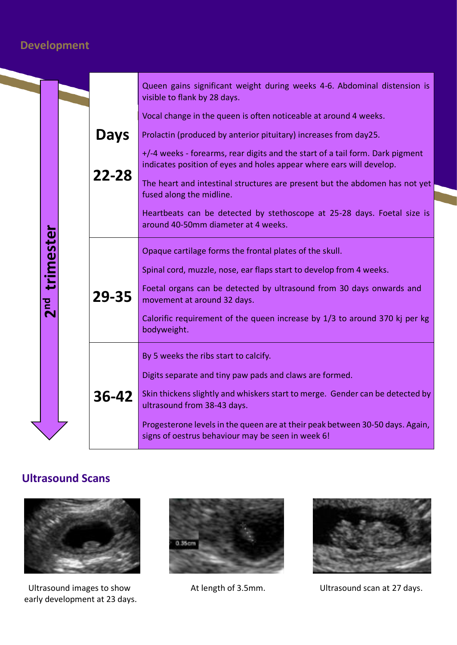# **Development**

|  |                          |  |             | Queen gains significant weight during weeks 4-6. Abdominal distension is<br>visible to flank by 28 days.                                              |
|--|--------------------------|--|-------------|-------------------------------------------------------------------------------------------------------------------------------------------------------|
|  |                          |  | <b>Days</b> | Vocal change in the queen is often noticeable at around 4 weeks.                                                                                      |
|  |                          |  |             | Prolactin (produced by anterior pituitary) increases from day25.                                                                                      |
|  |                          |  | 22-28       | +/-4 weeks - forearms, rear digits and the start of a tail form. Dark pigment<br>indicates position of eyes and holes appear where ears will develop. |
|  |                          |  |             | The heart and intestinal structures are present but the abdomen has not yet<br>fused along the midline.                                               |
|  |                          |  |             | Heartbeats can be detected by stethoscope at 25-28 days. Foetal size is<br>around 40-50mm diameter at 4 weeks.                                        |
|  | trimester                |  | 29-35       | Opaque cartilage forms the frontal plates of the skull.                                                                                               |
|  |                          |  |             | Spinal cord, muzzle, nose, ear flaps start to develop from 4 weeks.                                                                                   |
|  | pa<br>$\bar{\mathbf{N}}$ |  |             | Foetal organs can be detected by ultrasound from 30 days onwards and<br>movement at around 32 days.                                                   |
|  |                          |  |             | Calorific requirement of the queen increase by 1/3 to around 370 kj per kg<br>bodyweight.                                                             |
|  |                          |  |             | By 5 weeks the ribs start to calcify.                                                                                                                 |
|  |                          |  |             | Digits separate and tiny paw pads and claws are formed.                                                                                               |
|  |                          |  | 36-42       | Skin thickens slightly and whiskers start to merge. Gender can be detected by<br>ultrasound from 38-43 days.                                          |
|  |                          |  |             | Progesterone levels in the queen are at their peak between 30-50 days. Again,<br>signs of oestrus behaviour may be seen in week 6!                    |

## **Ultrasound Scans**



Ultrasound images to show **At length of 3.5mm.** Ultrasound scan at 27 days. early development at 23 days.



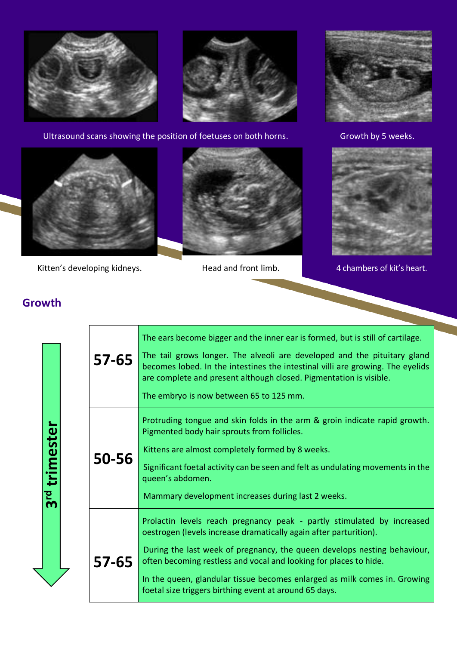



Ultrasound scans showing the position of foetuses on both horns. Growth by 5 weeks.





Kitten's developing kidneys. Thead and front limb. The 4 chambers of kit's heart.





# **Growth**

3<sup>rd</sup> trimester **3rd trimester**

| 57-65 | The ears become bigger and the inner ear is formed, but is still of cartilage.<br>The tail grows longer. The alveoli are developed and the pituitary gland<br>becomes lobed. In the intestines the intestinal villi are growing. The eyelids<br>are complete and present although closed. Pigmentation is visible.<br>The embryo is now between 65 to 125 mm.                                                                       |
|-------|-------------------------------------------------------------------------------------------------------------------------------------------------------------------------------------------------------------------------------------------------------------------------------------------------------------------------------------------------------------------------------------------------------------------------------------|
| 50-56 | Protruding tongue and skin folds in the arm & groin indicate rapid growth.<br>Pigmented body hair sprouts from follicles.<br>Kittens are almost completely formed by 8 weeks.<br>Significant foetal activity can be seen and felt as undulating movements in the<br>queen's abdomen.<br>Mammary development increases during last 2 weeks.                                                                                          |
| 57-65 | Prolactin levels reach pregnancy peak - partly stimulated by increased<br>oestrogen (levels increase dramatically again after parturition).<br>During the last week of pregnancy, the queen develops nesting behaviour,<br>often becoming restless and vocal and looking for places to hide.<br>In the queen, glandular tissue becomes enlarged as milk comes in. Growing<br>foetal size triggers birthing event at around 65 days. |